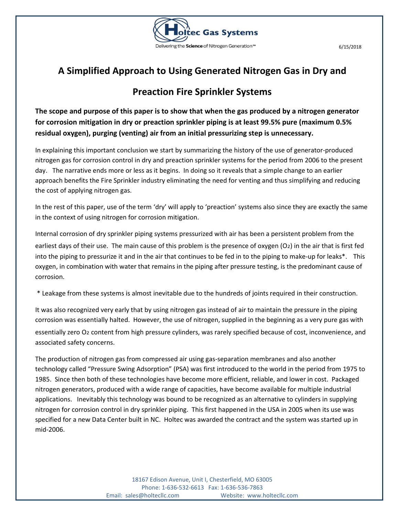

## **A Simplified Approach to Using Generated Nitrogen Gas in Dry and**

## **Preaction Fire Sprinkler Systems**

**The scope and purpose of this paper is to show that when the gas produced by a nitrogen generator for corrosion mitigation in dry or preaction sprinkler piping is at least 99.5% pure (maximum 0.5% residual oxygen), purging (venting) air from an initial pressurizing step is unnecessary.** 

In explaining this important conclusion we start by summarizing the history of the use of generator-produced nitrogen gas for corrosion control in dry and preaction sprinkler systems for the period from 2006 to the present day. The narrative ends more or less as it begins. In doing so it reveals that a simple change to an earlier approach benefits the Fire Sprinkler industry eliminating the need for venting and thus simplifying and reducing the cost of applying nitrogen gas.

In the rest of this paper, use of the term 'dry' will apply to 'preaction' systems also since they are exactly the same in the context of using nitrogen for corrosion mitigation.

Internal corrosion of dry sprinkler piping systems pressurized with air has been a persistent problem from the earliest days of their use. The main cause of this problem is the presence of oxygen  $(O<sub>2</sub>)$  in the air that is first fed into the piping to pressurize it and in the air that continues to be fed in to the piping to make-up for leaks\*. This oxygen, in combination with water that remains in the piping after pressure testing, is the predominant cause of corrosion.

\* Leakage from these systems is almost inevitable due to the hundreds of joints required in their construction.

It was also recognized very early that by using nitrogen gas instead of air to maintain the pressure in the piping corrosion was essentially halted. However, the use of nitrogen, supplied in the beginning as a very pure gas with essentially zero O₂ content from high pressure cylinders, was rarely specified because of cost, inconvenience, and associated safety concerns.

The production of nitrogen gas from compressed air using gas-separation membranes and also another technology called "Pressure Swing Adsorption" (PSA) was first introduced to the world in the period from 1975 to 1985. Since then both of these technologies have become more efficient, reliable, and lower in cost. Packaged nitrogen generators, produced with a wide range of capacities, have become available for multiple industrial applications. Inevitably this technology was bound to be recognized as an alternative to cylinders in supplying nitrogen for corrosion control in dry sprinkler piping. This first happened in the USA in 2005 when its use was specified for a new Data Center built in NC. Holtec was awarded the contract and the system was started up in mid-2006.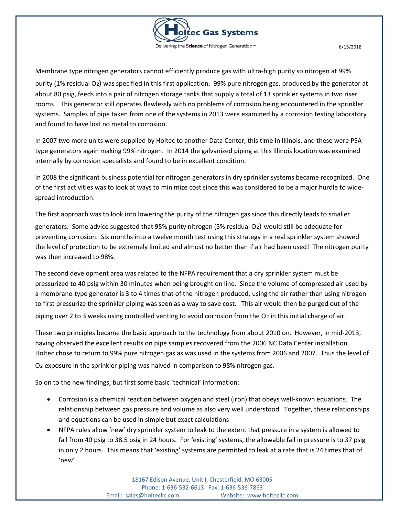

Membrane type nitrogen generators cannot efficiently produce gas with ultra-high purity so nitrogen at 99% purity (1% residual O₂) was specified in this first application. 99% pure nitrogen gas, produced by the generator at about 80 psig, feeds into a pair of nitrogen storage tanks that supply a total of 13 sprinkler systems in two riser rooms. This generator still operates flawlessly with no problems of corrosion being encountered in the sprinkler systems. Samples of pipe taken from one of the systems in 2013 were examined by a corrosion testing laboratory and found to have lost no metal to corrosion.

In 2007 two more units were supplied by Holtec to another Data Center, this time in Illinois, and these were PSA type generators again making 99% nitrogen. In 2014 the galvanized piping at this Illinois location was examined internally by corrosion specialists and found to be in excellent condition.

In 2008 the significant business potential for nitrogen generators in dry sprinkler systems became recognized. One of the first activities was to look at ways to minimize cost since this was considered to be a major hurdle to widespread introduction.

The first approach was to look into lowering the purity of the nitrogen gas since this directly leads to smaller generators. Some advice suggested that 95% purity nitrogen (5% residual O₂) would still be adequate for preventing corrosion. Six months into a twelve month test using this strategy in a real sprinkler system showed the level of protection to be extremely limited and almost no better than if air had been used! The nitrogen purity was then increased to 98%.

The second development area was related to the NFPA requirement that a dry sprinkler system must be pressurized to 40 psig within 30 minutes when being brought on line. Since the volume of compressed air used by a membrane-type generator is 3 to 4 times that of the nitrogen produced, using the air rather than using nitrogen to first pressurize the sprinkler piping was seen as a way to save cost. This air would then be purged out of the

piping over 2 to 3 weeks using controlled venting to avoid corrosion from the O<sub>2</sub> in this initial charge of air.

These two principles became the basic approach to the technology from about 2010 on. However, in mid-2013, having observed the excellent results on pipe samples recovered from the 2006 NC Data Center installation, Holtec chose to return to 99% pure nitrogen gas as was used in the systems from 2006 and 2007. Thus the level of

O<sub>2</sub> exposure in the sprinkler piping was halved in comparison to 98% nitrogen gas.

So on to the new findings, but first some basic 'technical' information:

- Corrosion is a chemical reaction between oxygen and steel (iron) that obeys well-known equations. The relationship between gas pressure and volume as also very well understood. Together, these relationships and equations can be used in simple but exact calculations
- NFPA rules allow 'new' dry sprinkler system to leak to the extent that pressure in a system is allowed to fall from 40 psig to 38.5 psig in 24 hours. For 'existing' systems, the allowable fall in pressure is to 37 psig in only 2 hours. This means that 'existing' systems are permitted to leak at a rate that is 24 times that of 'new'!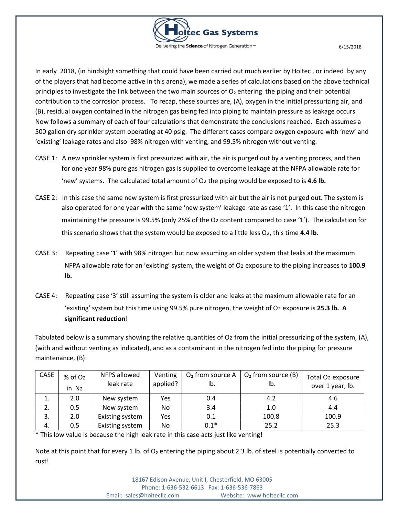

In early 2018, (in hindsight something that could have been carried out much earlier by Holtec , or indeed by any of the players that had become active in this arena), we made a series of calculations based on the above technical principles to investigate the link between the two main sources of  $O<sub>2</sub>$  entering the piping and their potential contribution to the corrosion process. To recap, these sources are, (A), oxygen in the initial pressurizing air, and (B), residual oxygen contained in the nitrogen gas being fed into piping to maintain pressure as leakage occurs. Now follows a summary of each of four calculations that demonstrate the conclusions reached. Each assumes a 500 gallon dry sprinkler system operating at 40 psig. The different cases compare oxygen exposure with 'new' and 'existing' leakage rates and also 98% nitrogen with venting, and 99.5% nitrogen without venting.

- CASE 1: A new sprinkler system is first pressurized with air, the air is purged out by a venting process, and then for one year 98% pure gas nitrogen gas is supplied to overcome leakage at the NFPA allowable rate for 'new' systems. The calculated total amount of O₂ the piping would be exposed to is **4.6 lb.**
- CASE 2: In this case the same new system is first pressurized with air but the air is not purged out. The system is also operated for one year with the same 'new system' leakage rate as case '1'. In this case the nitrogen maintaining the pressure is 99.5% (only 25% of the O<sub>2</sub> content compared to case '1'). The calculation for this scenario shows that the system would be exposed to a little less O₂, this time **4.4 lb.**
- CASE 3: Repeating case '1' with 98% nitrogen but now assuming an older system that leaks at the maximum NFPA allowable rate for an 'existing' system, the weight of O<sub>2</sub> exposure to the piping increases to 100.9 **lb.**
- CASE 4: Repeating case '3' still assuming the system is older and leaks at the maximum allowable rate for an 'existing' system but this time using 99.5% pure nitrogen, the weight of O₂ exposure is **25.3 lb. A significant reduction**!

Tabulated below is a summary showing the relative quantities of  $O<sub>2</sub>$  from the initial pressurizing of the system, (A), (with and without venting as indicated), and as a contaminant in the nitrogen fed into the piping for pressure maintenance, (B):

| <b>CASE</b> | $%$ of O <sub>2</sub><br>in $N_2$ | NFPS allowed<br>leak rate | Venting<br>applied? | $O2$ from source A<br>lb. | $O2$ from source (B)<br>lb. | Total O <sub>2</sub> exposure<br>over 1 year, lb. |
|-------------|-----------------------------------|---------------------------|---------------------|---------------------------|-----------------------------|---------------------------------------------------|
| 1.          | 2.0                               | New system                | Yes                 | 0.4                       | 4.2                         | 4.6                                               |
| 2.          | 0.5                               | New system                | No.                 | 3.4                       | 1.0                         | 4.4                                               |
| 3.          | 2.0                               | Existing system           | Yes                 | 0.1                       | 100.8                       | 100.9                                             |
| 4.          | 0.5                               | Existing system           | No.                 | $0.1*$                    | 25.2                        | 25.3                                              |

\* This low value is because the high leak rate in this case acts just like venting!

Note at this point that for every 1 lb. of O<sub>2</sub> entering the piping about 2.3 lb. of steel is potentially converted to rust!

> 18167 Edison Avenue, Unit I, Chesterfield, MO 63005 Phone: 1-636-532-6613 Fax: 1-636-536-7863 Email: sales@holtecllc.com Website: www.holtecllc.com